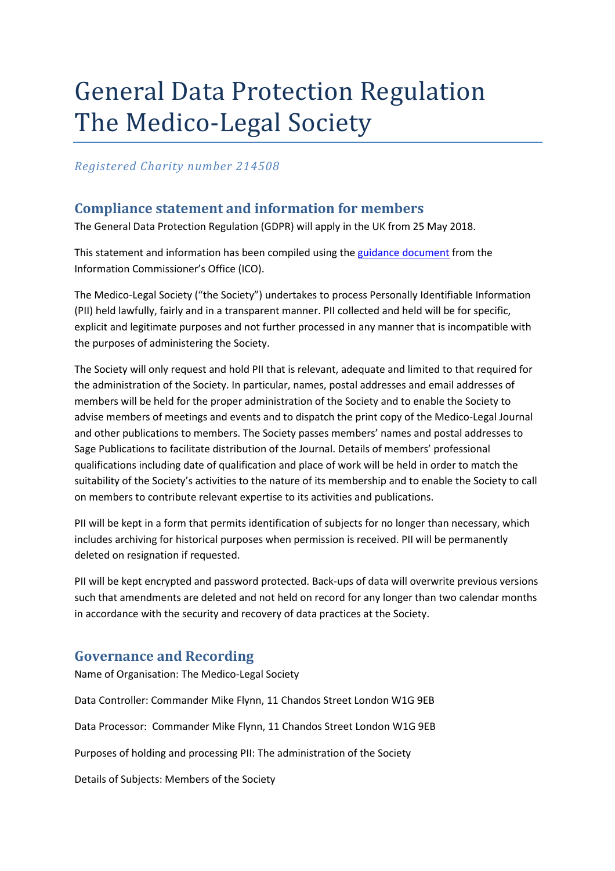# General Data Protection Regulation The Medico-Legal Society

*Registered Charity number 214508*

## **Compliance statement and information for members**

The General Data Protection Regulation (GDPR) will apply in the UK from 25 May 2018.

This statement and information has been compiled using the guidance document from the Information Commissioner's Office (ICO).

The Medico-Legal Society ("the Society") undertakes to process Personally Identifiable Information (PII) held lawfully, fairly and in a transparent manner. PII collected and held will be for specific, explicit and legitimate purposes and not further processed in any manner that is incompatible with the purposes of administering the Society.

The Society will only request and hold PII that is relevant, adequate and limited to that required for the administration of the Society. In particular, names, postal addresses and email addresses of members will be held for the proper administration of the Society and to enable the Society to advise members of meetings and events and to dispatch the print copy of the Medico-Legal Journal and other publications to members. The Society passes members' names and postal addresses to Sage Publications to facilitate distribution of the Journal. Details of members' professional qualifications including date of qualification and place of work will be held in order to match the suitability of the Society's activities to the nature of its membership and to enable the Society to call on members to contribute relevant expertise to its activities and publications.

PII will be kept in a form that permits identification of subjects for no longer than necessary, which includes archiving for historical purposes when permission is received. PII will be permanently deleted on resignation if requested.

PII will be kept encrypted and password protected. Back-ups of data will overwrite previous versions such that amendments are deleted and not held on record for any longer than two calendar months in accordance with the security and recovery of data practices at the Society.

## **Governance and Recording**

Name of Organisation: The Medico-Legal Society

Data Controller: Commander Mike Flynn, 11 Chandos Street London W1G 9EB

Data Processor: Commander Mike Flynn, 11 Chandos Street London W1G 9EB

Purposes of holding and processing PII: The administration of the Society

Details of Subjects: Members of the Society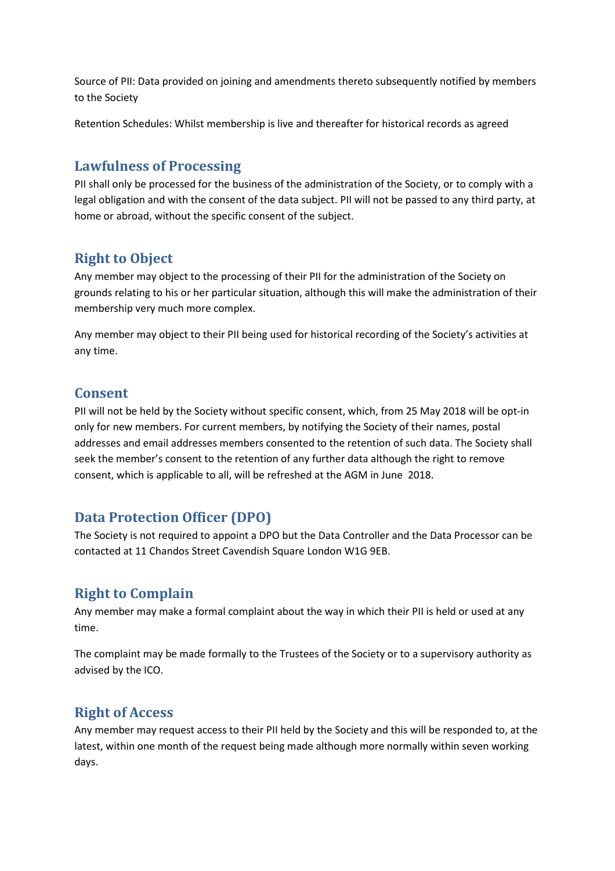Source of PII: Data provided on joining and amendments thereto subsequently notified by members to the Society

Retention Schedules: Whilst membership is live and thereafter for historical records as agreed

## **Lawfulness of Processing**

PII shall only be processed for the business of the administration of the Society, or to comply with a legal obligation and with the consent of the data subject. PII will not be passed to any third party, at home or abroad, without the specific consent of the subject.

## **Right to Object**

Any member may object to the processing of their PII for the administration of the Society on grounds relating to his or her particular situation, although this will make the administration of their membership very much more complex.

Any member may object to their PII being used for historical recording of the Society's activities at any time.

#### **Consent**

PII will not be held by the Society without specific consent, which, from 25 May 2018 will be opt-in only for new members. For current members, by notifying the Society of their names, postal addresses and email addresses members consented to the retention of such data. The Society shall seek the member's consent to the retention of any further data although the right to remove consent, which is applicable to all, will be refreshed at the AGM in June 2018.

## **Data Protection Officer (DPO)**

The Society is not required to appoint a DPO but the Data Controller and the Data Processor can be contacted at 11 Chandos Street Cavendish Square London W1G 9EB.

# **Right to Complain**

Any member may make a formal complaint about the way in which their PII is held or used at any time.

The complaint may be made formally to the Trustees of the Society or to a supervisory authority as advised by the ICO.

# **Right of Access**

Any member may request access to their PII held by the Society and this will be responded to, at the latest, within one month of the request being made although more normally within seven working days.